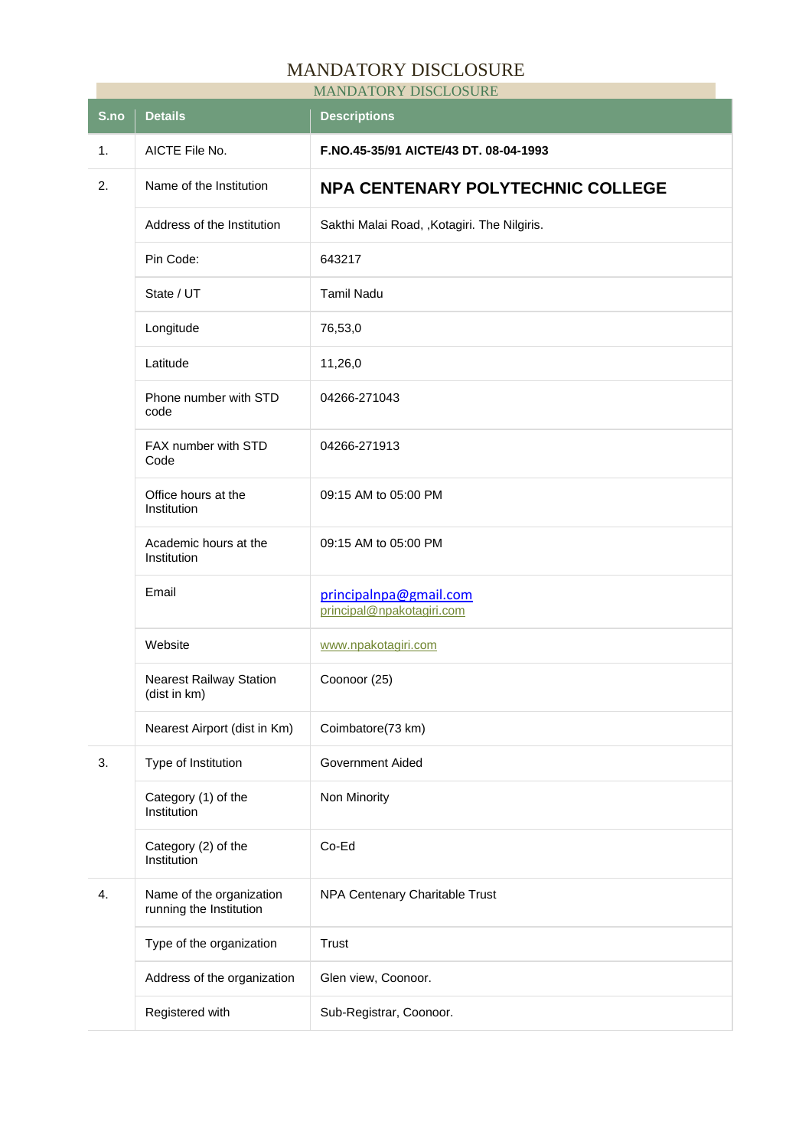## MANDATORY DISCLOSURE

| <b>MANDATORY DISCLOSURE</b> |                                                     |                                                     |  |  |
|-----------------------------|-----------------------------------------------------|-----------------------------------------------------|--|--|
| S.no                        | <b>Details</b>                                      | <b>Descriptions</b>                                 |  |  |
| 1.                          | AICTE File No.                                      | F.NO.45-35/91 AICTE/43 DT. 08-04-1993               |  |  |
| 2.                          | Name of the Institution                             | <b>NPA CENTENARY POLYTECHNIC COLLEGE</b>            |  |  |
|                             | Address of the Institution                          | Sakthi Malai Road, , Kotagiri. The Nilgiris.        |  |  |
|                             | Pin Code:                                           | 643217                                              |  |  |
|                             | State / UT                                          | <b>Tamil Nadu</b>                                   |  |  |
|                             | Longitude                                           | 76,53,0                                             |  |  |
|                             | Latitude                                            | 11,26,0                                             |  |  |
|                             | Phone number with STD<br>code                       | 04266-271043                                        |  |  |
|                             | FAX number with STD<br>Code                         | 04266-271913                                        |  |  |
|                             | Office hours at the<br>Institution                  | 09:15 AM to 05:00 PM                                |  |  |
|                             | Academic hours at the<br>Institution                | 09:15 AM to 05:00 PM                                |  |  |
|                             | Email                                               | principalnpa@gmail.com<br>principal@npakotagiri.com |  |  |
|                             | Website                                             | www.npakotagiri.com                                 |  |  |
|                             | <b>Nearest Railway Station</b><br>(dist in km)      | Coonoor (25)                                        |  |  |
|                             | Nearest Airport (dist in Km)                        | Coimbatore(73 km)                                   |  |  |
| 3.                          | Type of Institution                                 | Government Aided                                    |  |  |
|                             | Category (1) of the<br>Institution                  | Non Minority                                        |  |  |
|                             | Category (2) of the<br>Institution                  | Co-Ed                                               |  |  |
| 4.                          | Name of the organization<br>running the Institution | NPA Centenary Charitable Trust                      |  |  |
|                             | Type of the organization                            | <b>Trust</b>                                        |  |  |
|                             | Address of the organization                         | Glen view, Coonoor.                                 |  |  |
|                             | Registered with                                     | Sub-Registrar, Coonoor.                             |  |  |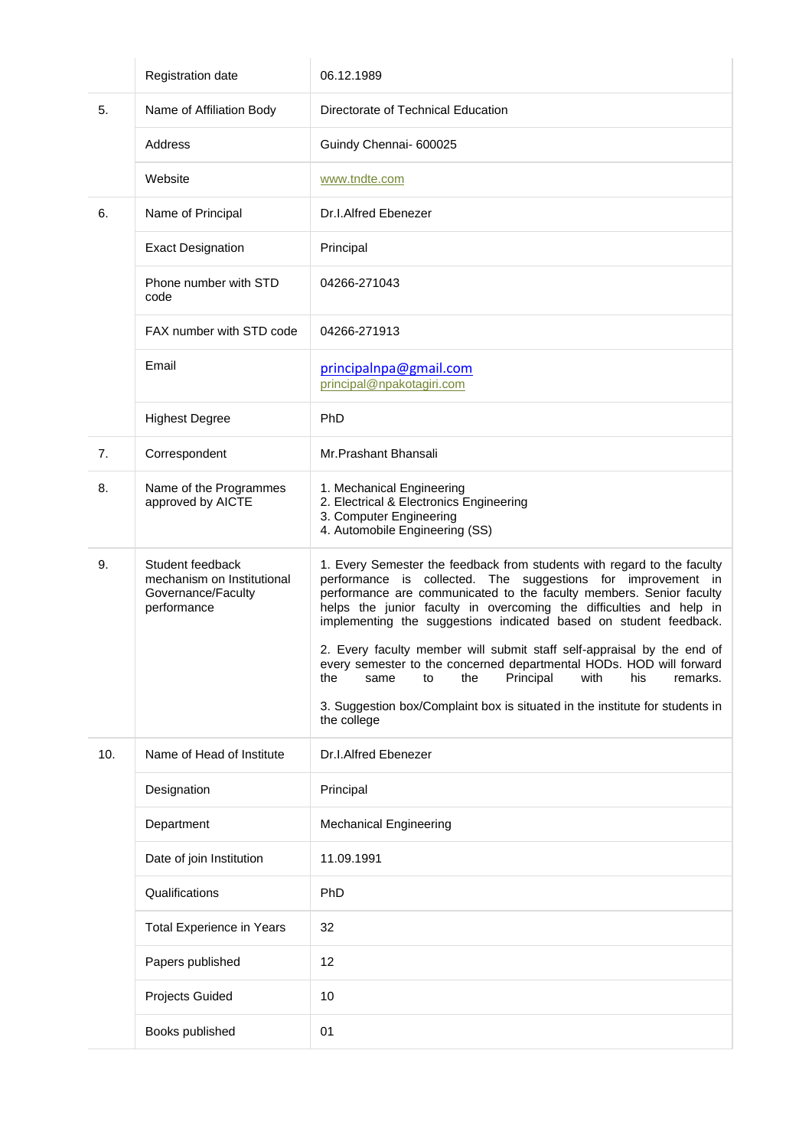|     | Registration date                                                                   | 06.12.1989                                                                                                                                                                                                                                                                                                                                                                                                                           |
|-----|-------------------------------------------------------------------------------------|--------------------------------------------------------------------------------------------------------------------------------------------------------------------------------------------------------------------------------------------------------------------------------------------------------------------------------------------------------------------------------------------------------------------------------------|
| 5.  | Name of Affiliation Body                                                            | Directorate of Technical Education                                                                                                                                                                                                                                                                                                                                                                                                   |
|     | Address                                                                             | Guindy Chennai- 600025                                                                                                                                                                                                                                                                                                                                                                                                               |
|     | Website                                                                             | www.tndte.com                                                                                                                                                                                                                                                                                                                                                                                                                        |
| 6.  | Name of Principal                                                                   | Dr.I.Alfred Ebenezer                                                                                                                                                                                                                                                                                                                                                                                                                 |
|     | <b>Exact Designation</b>                                                            | Principal                                                                                                                                                                                                                                                                                                                                                                                                                            |
|     | Phone number with STD<br>code                                                       | 04266-271043                                                                                                                                                                                                                                                                                                                                                                                                                         |
|     | FAX number with STD code                                                            | 04266-271913                                                                                                                                                                                                                                                                                                                                                                                                                         |
|     | Email                                                                               | principalnpa@gmail.com<br>principal@npakotagiri.com                                                                                                                                                                                                                                                                                                                                                                                  |
|     | <b>Highest Degree</b>                                                               | PhD                                                                                                                                                                                                                                                                                                                                                                                                                                  |
| 7.  | Correspondent                                                                       | Mr.Prashant Bhansali                                                                                                                                                                                                                                                                                                                                                                                                                 |
| 8.  | Name of the Programmes<br>approved by AICTE                                         | 1. Mechanical Engineering<br>2. Electrical & Electronics Engineering<br>3. Computer Engineering<br>4. Automobile Engineering (SS)                                                                                                                                                                                                                                                                                                    |
| 9.  | Student feedback<br>mechanism on Institutional<br>Governance/Faculty<br>performance | 1. Every Semester the feedback from students with regard to the faculty<br>performance is collected. The suggestions for improvement in<br>performance are communicated to the faculty members. Senior faculty<br>helps the junior faculty in overcoming the difficulties and help in<br>implementing the suggestions indicated based on student feedback.<br>2. Every faculty member will submit staff self-appraisal by the end of |
|     |                                                                                     | every semester to the concerned departmental HODs. HOD will forward<br>Principal<br>with<br>his<br>remarks.<br>the<br>the<br>to<br>same                                                                                                                                                                                                                                                                                              |
|     |                                                                                     | 3. Suggestion box/Complaint box is situated in the institute for students in<br>the college                                                                                                                                                                                                                                                                                                                                          |
| 10. | Name of Head of Institute                                                           | Dr.I.Alfred Ebenezer                                                                                                                                                                                                                                                                                                                                                                                                                 |
|     | Designation                                                                         | Principal                                                                                                                                                                                                                                                                                                                                                                                                                            |
|     | Department                                                                          | <b>Mechanical Engineering</b>                                                                                                                                                                                                                                                                                                                                                                                                        |
|     | Date of join Institution                                                            | 11.09.1991                                                                                                                                                                                                                                                                                                                                                                                                                           |
|     | Qualifications                                                                      | PhD                                                                                                                                                                                                                                                                                                                                                                                                                                  |
|     | <b>Total Experience in Years</b>                                                    | 32                                                                                                                                                                                                                                                                                                                                                                                                                                   |
|     | Papers published                                                                    | 12                                                                                                                                                                                                                                                                                                                                                                                                                                   |
|     | Projects Guided                                                                     | 10                                                                                                                                                                                                                                                                                                                                                                                                                                   |
|     | Books published                                                                     | 01                                                                                                                                                                                                                                                                                                                                                                                                                                   |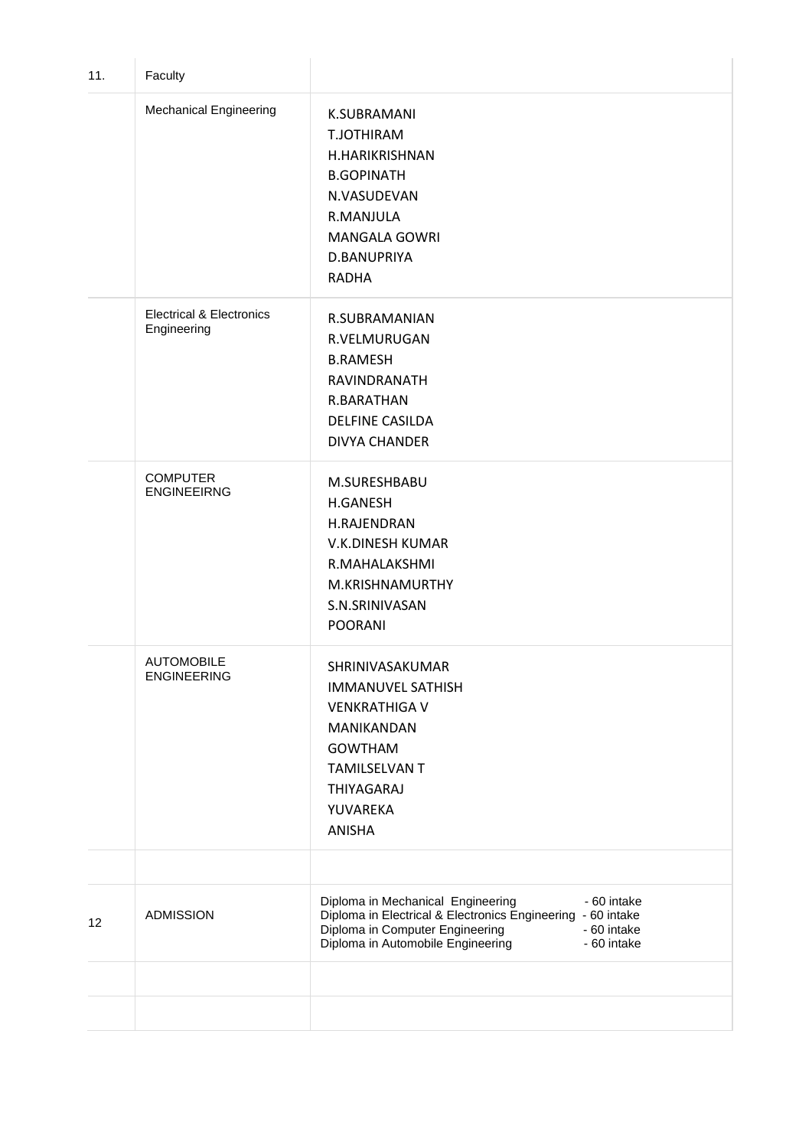| 11. | Faculty                                            |                                                                                                                                                                                                                       |
|-----|----------------------------------------------------|-----------------------------------------------------------------------------------------------------------------------------------------------------------------------------------------------------------------------|
|     | <b>Mechanical Engineering</b>                      | K.SUBRAMANI<br>T.JOTHIRAM<br>H.HARIKRISHNAN<br><b>B.GOPINATH</b><br>N.VASUDEVAN<br>R.MANJULA<br><b>MANGALA GOWRI</b><br>D.BANUPRIYA<br><b>RADHA</b>                                                                   |
|     | <b>Electrical &amp; Electronics</b><br>Engineering | R.SUBRAMANIAN<br>R.VELMURUGAN<br><b>B.RAMESH</b><br>RAVINDRANATH<br>R.BARATHAN<br><b>DELFINE CASILDA</b><br><b>DIVYA CHANDER</b>                                                                                      |
|     | <b>COMPUTER</b><br><b>ENGINEEIRNG</b>              | M.SURESHBABU<br><b>H.GANESH</b><br>H.RAJENDRAN<br>V.K.DINESH KUMAR<br>R.MAHALAKSHMI<br>M.KRISHNAMURTHY<br>S.N.SRINIVASAN<br><b>POORANI</b>                                                                            |
|     | <b>AUTOMOBILE</b><br><b>ENGINEERING</b>            | SHRINIVASAKUMAR<br><b>IMMANUVEL SATHISH</b><br><b>VENKRATHIGA V</b><br>MANIKANDAN<br><b>GOWTHAM</b><br><b>TAMILSELVAN T</b><br>THIYAGARAJ<br>YUVAREKA<br><b>ANISHA</b>                                                |
|     |                                                    |                                                                                                                                                                                                                       |
| 12  | <b>ADMISSION</b>                                   | Diploma in Mechanical Engineering<br>- 60 intake<br>Diploma in Electrical & Electronics Engineering - 60 intake<br>Diploma in Computer Engineering<br>- 60 intake<br>Diploma in Automobile Engineering<br>- 60 intake |
|     |                                                    |                                                                                                                                                                                                                       |